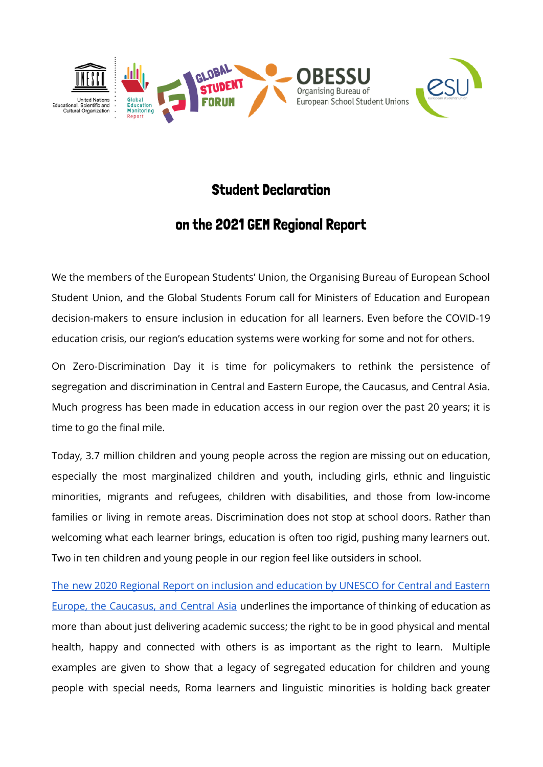

## Student Declaration

## on the 2021 GEM Regional Report

We the members of the European Students' Union, the Organising Bureau of European School Student Union, and the Global Students Forum call for Ministers of Education and European decision-makers to ensure inclusion in education for all learners. Even before the COVID-19 education crisis, our region's education systems were working for some and not for others.

On Zero-Discrimination Day it is time for policymakers to rethink the persistence of segregation and discrimination in Central and Eastern Europe, the Caucasus, and Central Asia. Much progress has been made in education access in our region over the past 20 years; it is time to go the final mile.

Today, 3.7 million children and young people across the region are missing out on education, especially the most marginalized children and youth, including girls, ethnic and linguistic minorities, migrants and refugees, children with disabilities, and those from low-income families or living in remote areas. Discrimination does not stop at school doors. Rather than welcoming what each learner brings, education is often too rigid, pushing many learners out. Two in ten children and young people in our region feel like outsiders in school.

The new 2020 Regional Report on inclusion and [education](https://en.unesco.org/gem-report/Eurasia2021inclusion) by UNESCO for Central and Eastern Europe, the [Caucasus,](https://en.unesco.org/gem-report/Eurasia2021inclusion) and Central Asia underlines the importance of thinking of education as more than about just delivering academic success; the right to be in good physical and mental health, happy and connected with others is as important as the right to learn. Multiple examples are given to show that a legacy of segregated education for children and young people with special needs, Roma learners and linguistic minorities is holding back greater